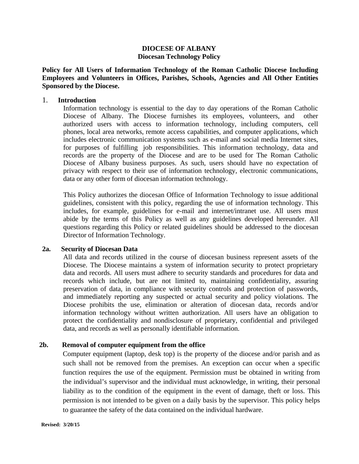# **DIOCESE OF ALBANY Diocesan Technology Policy**

**Policy for All Users of Information Technology of the Roman Catholic Diocese Including Employees and Volunteers in Offices, Parishes, Schools, Agencies and All Other Entities Sponsored by the Diocese.**

### 1. **Introduction**

Information technology is essential to the day to day operations of the Roman Catholic Diocese of Albany. The Diocese furnishes its employees, volunteers, and other authorized users with access to information technology, including computers, cell phones, local area networks, remote access capabilities, and computer applications, which includes electronic communication systems such as e-mail and social media Internet sites, for purposes of fulfilling job responsibilities. This information technology, data and records are the property of the Diocese and are to be used for The Roman Catholic Diocese of Albany business purposes. As such, users should have no expectation of privacy with respect to their use of information technology, electronic communications, data or any other form of diocesan information technology.

This Policy authorizes the diocesan Office of Information Technology to issue additional guidelines, consistent with this policy, regarding the use of information technology. This includes, for example, guidelines for e-mail and internet/intranet use. All users must abide by the terms of this Policy as well as any guidelines developed hereunder. All questions regarding this Policy or related guidelines should be addressed to the diocesan Director of Information Technology.

#### **2a. Security of Diocesan Data**

All data and records utilized in the course of diocesan business represent assets of the Diocese. The Diocese maintains a system of information security to protect proprietary data and records. All users must adhere to security standards and procedures for data and records which include, but are not limited to, maintaining confidentiality, assuring preservation of data, in compliance with security controls and protection of passwords, and immediately reporting any suspected or actual security and policy violations. The Diocese prohibits the use, elimination or alteration of diocesan data, records and/or information technology without written authorization. All users have an obligation to protect the confidentiality and nondisclosure of proprietary, confidential and privileged data, and records as well as personally identifiable information.

# **2b. Removal of computer equipment from the office**

Computer equipment (laptop, desk top) is the property of the diocese and/or parish and as such shall not be removed from the premises. An exception can occur when a specific function requires the use of the equipment. Permission must be obtained in writing from the individual's supervisor and the individual must acknowledge, in writing, their personal liability as to the condition of the equipment in the event of damage, theft or loss. This permission is not intended to be given on a daily basis by the supervisor. This policy helps to guarantee the safety of the data contained on the individual hardware.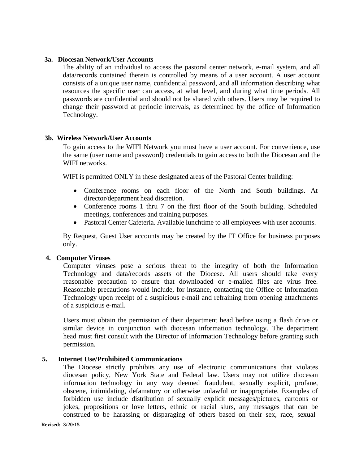## **3a. Diocesan Network/User Accounts**

The ability of an individual to access the pastoral center network, e-mail system, and all data/records contained therein is controlled by means of a user account. A user account consists of a unique user name, confidential password, and all information describing what resources the specific user can access, at what level, and during what time periods. All passwords are confidential and should not be shared with others. Users may be required to change their password at periodic intervals, as determined by the office of Information Technology.

## **3b. Wireless Network/User Accounts**

To gain access to the WIFI Network you must have a user account. For convenience, use the same (user name and password) credentials to gain access to both the Diocesan and the WIFI networks.

WIFI is permitted ONLY in these designated areas of the Pastoral Center building:

- Conference rooms on each floor of the North and South buildings. At director/department head discretion.
- Conference rooms 1 thru 7 on the first floor of the South building. Scheduled meetings, conferences and training purposes.
- Pastoral Center Cafeteria. Available lunchtime to all employees with user accounts.

By Request, Guest User accounts may be created by the IT Office for business purposes only.

# **4. Computer Viruses**

Computer viruses pose a serious threat to the integrity of both the Information Technology and data/records assets of the Diocese. All users should take every reasonable precaution to ensure that downloaded or e-mailed files are virus free. Reasonable precautions would include, for instance, contacting the Office of Information Technology upon receipt of a suspicious e-mail and refraining from opening attachments of a suspicious e-mail.

Users must obtain the permission of their department head before using a flash drive or similar device in conjunction with diocesan information technology. The department head must first consult with the Director of Information Technology before granting such permission.

# **5. Internet Use/Prohibited Communications**

The Diocese strictly prohibits any use of electronic communications that violates diocesan policy, New York State and Federal law. Users may not utilize diocesan information technology in any way deemed fraudulent, sexually explicit, profane, obscene, intimidating, defamatory or otherwise unlawful or inappropriate. Examples of forbidden use include distribution of sexually explicit messages/pictures, cartoons or jokes, propositions or love letters, ethnic or racial slurs, any messages that can be construed to be harassing or disparaging of others based on their sex, race, sexual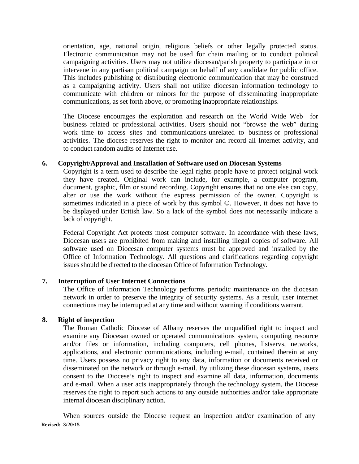orientation, age, national origin, religious beliefs or other legally protected status. Electronic communication may not be used for chain mailing or to conduct political campaigning activities. Users may not utilize diocesan/parish property to participate in or intervene in any partisan political campaign on behalf of any candidate for public office. This includes publishing or distributing electronic communication that may be construed as a campaigning activity. Users shall not utilize diocesan information technology to communicate with children or minors for the purpose of disseminating inappropriate communications, as set forth above, or promoting inappropriate relationships.

The Diocese encourages the exploration and research on the World Wide Web for business related or professional activities. Users should not "browse the web" during work time to access sites and communications unrelated to business or professional activities. The diocese reserves the right to monitor and record all Internet activity, and to conduct random audits of Internet use.

# **6. Copyright/Approval and Installation of Software used on Diocesan Systems**

Copyright is a term used to describe the legal rights people have to protect original work they have created. Original work can include, for example, a computer program, document, graphic, film or sound recording. Copyright ensures that no one else can copy, alter or use the work without the express permission of the owner. Copyright is sometimes indicated in a piece of work by this symbol ©. However, it does not have to be displayed under British law. So a lack of the symbol does not necessarily indicate a lack of copyright.

Federal Copyright Act protects most computer software. In accordance with these laws, Diocesan users are prohibited from making and installing illegal copies of software. All software used on Diocesan computer systems must be approved and installed by the Office of Information Technology. All questions and clarifications regarding copyright issues should be directed to the diocesan Office of Information Technology.

# **7. Interruption of User Internet Connections**

The Office of Information Technology performs periodic maintenance on the diocesan network in order to preserve the integrity of security systems. As a result, user internet connections may be interrupted at any time and without warning if conditions warrant.

# **8. Right of inspection**

The Roman Catholic Diocese of Albany reserves the unqualified right to inspect and examine any Diocesan owned or operated communications system, computing resource and/or files or information, including computers, cell phones, listservs, networks, applications, and electronic communications, including e-mail, contained therein at any time. Users possess no privacy right to any data, information or documents received or disseminated on the network or through e-mail. By utilizing these diocesan systems, users consent to the Diocese's right to inspect and examine all data, information, documents and e-mail. When a user acts inappropriately through the technology system, the Diocese reserves the right to report such actions to any outside authorities and/or take appropriate internal diocesan disciplinary action.

**Revised: 3/20/15** When sources outside the Diocese request an inspection and/or examination of any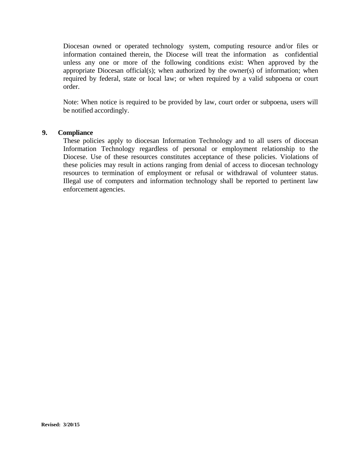Diocesan owned or operated technology system, computing resource and/or files or information contained therein, the Diocese will treat the information as confidential unless any one or more of the following conditions exist: When approved by the appropriate Diocesan official(s); when authorized by the owner(s) of information; when required by federal, state or local law; or when required by a valid subpoena or court order.

Note: When notice is required to be provided by law, court order or subpoena, users will be notified accordingly.

## **9. Compliance**

These policies apply to diocesan Information Technology and to all users of diocesan Information Technology regardless of personal or employment relationship to the Diocese. Use of these resources constitutes acceptance of these policies. Violations of these policies may result in actions ranging from denial of access to diocesan technology resources to termination of employment or refusal or withdrawal of volunteer status. Illegal use of computers and information technology shall be reported to pertinent law enforcement agencies.